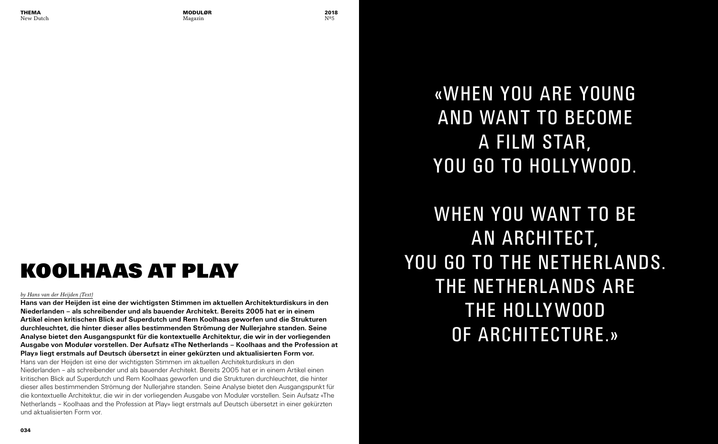#### *by Hans van der Heijden (Text)*

**Hans van der Heijden ist eine der wichtigsten Stimmen im aktuellen Architekturdiskurs in den Niederlanden – als schreibender und als bauender Architekt. Bereits 2005 hat er in einem Artikel einen kritischen Blick auf Superdutch und Rem Koolhaas geworfen und die Strukturen durchleuchtet, die hinter dieser alles bestimmenden Strömung der Nullerjahre standen. Seine Analyse bietet den Ausgangspunkt für die kontextuelle Architektur, die wir in der vorliegenden Ausgabe von Modulør vorstellen. Der Aufsatz «The Netherlands – Koolhaas and the Profession at Play» liegt erstmals auf Deutsch übersetzt in einer gekürzten und aktualisierten Form vor.**

Hans van der Heijden ist eine der wichtigsten Stimmen im aktuellen Architekturdiskurs in den Niederlanden – als schreibender und als bauender Architekt. Bereits 2005 hat er in einem Artikel einen kritischen Blick auf Superdutch und Rem Koolhaas geworfen und die Strukturen durchleuchtet, die hinter dieser alles bestimmenden Strömung der Nullerjahre standen. Seine Analyse bietet den Ausgangspunkt für die kontextuelle Architektur, die wir in der vorliegenden Ausgabe von Modulør vorstellen. Sein Aufsatz «The Netherlands – Koolhaas and the Profession at Play» liegt erstmals auf Deutsch übersetzt in einer gekürzten und aktualisierten Form vor.

## **KOOLHAAS AT PLAY**

«WHEN YOU ARE YOUNG

# AND WANT TO BECOME A FILM STAR, YOU GO TO HOLLYWOOD.

## WHEN YOU WANT TO BE AN ARCHITECT, YOU GO TO THE NETHERLANDS. THE NETHERLANDS ARE THE HOLLYWOOD OF ARCHITECTURE.»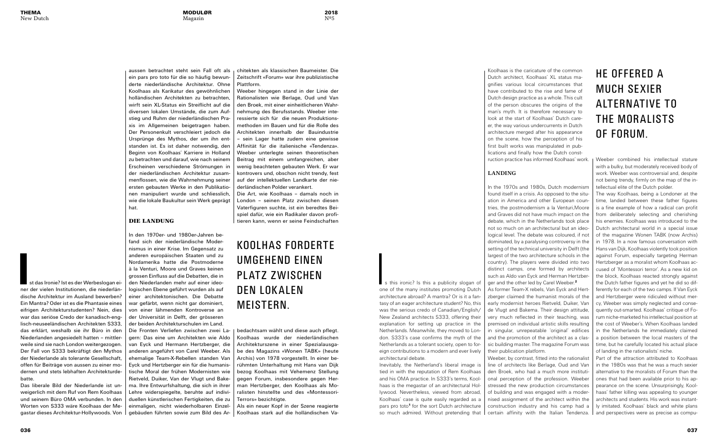2018 Nº5

**I**st das Ironie? Ist es der Werbeslogan einer der vielen Institutionen, die niederländische Architektur im Ausland bewerben? Ein Mantra? Oder ist es die Phantasie eines eifrigen Architekturstudenten? Nein, dies war das seriöse Credo der kanadisch-englisch-neuseeländischen Architekten S333, das erklärt, weshalb sie ihr Büro in den Niederlanden angesiedelt hatten – mittlerweile sind sie nach London weitergezogen. Der Fall von S333 bekräftigt den Mythos der Niederlande als tolerante Gesellschaft, offen für Beiträge von aussen zu einer modernen und stets lebhaften Architekturdebatte.

Is this ironic? Is this a publicity slogan of one of the many institutes promoting Dutch architecture abroad? A mantra? Or is it a fantasy of an eager architecture student? No, this was the serious credo of Canadian/English/ New Zealand architects S333, offering their explanation for setting up practice in the Netherlands. Meanwhile, they moved to London. S333's case confirms the myth of the Netherlands as a tolerant society, open to foreign contributions to a modern and ever lively architectural debate.

Das liberale Bild der Niederlande ist unweigerlich mit dem Ruf von Rem Koolhaas und seinem Büro OMA verbunden. In den Worten von S333 wäre Koolhaas der Megastar dieses Architektur-Hollywoods. Von Inevitably, the Netherland's liberal image is tied in with the reputation of Rem Koolhaas and his OMA practice. In S333's terms, Koolhaas is the megastar of an architectural Hollywood. Nevertheless, viewed from abroad, Koolhaas' case is quite easily regarded as a pars pro toto<sup>1</sup> for the sort Dutch architecture so much admired. Without pretending that

aussen betrachtet steht sein Fall oft als ein pars pro toto für die so häufig bewunderte niederländische Architektur. Ohne Koolhaas als Karikatur des gewöhnlichen holländischen Architekten zu betrachten, wirft sein XL-Status ein Streiflicht auf die diversen lokalen Umstände, die zum Aufstieg und Ruhm der niederländischen Praxis im Allgemeinen beigetragen haben. Der Personenkult verschleiert jedoch die Ursprünge des Mythos, der um ihn entstanden ist. Es ist daher notwendig, den Beginn von Koolhaas' Karriere in Holland zu betrachten und darauf, wie nach seinem Erscheinen verschiedene Strömungen in der niederländischen Architektur zusammenflossen, wie die Wahrnehmung seiner ersten gebauten Werke in den Publikationen manipuliert wurde und schliesslich, wie die lokale Baukultur sein Werk geprägt hat.

#### DIE LANDUNG

In den 1970er- und 1980er-Jahren befand sich der niederländische Modernismus in einer Krise. Im Gegensatz zu anderen europäischen Staaten und zu Nordamerika hatte die Postmoderne à la Venturi, Moore und Graves keinen grossen Einfluss auf die Debatten, die in den Niederlanden mehr auf einer ideologischen Ebene geführt wurden als auf einer architektonischen. Die Debatte war gefärbt, wenn nicht gar dominiert, von einer lähmenden Kontroverse an der Universität in Delft, der grösseren der beiden Architekturschulen im Land.

Die Fronten Verliefen zwischen zwei Lagern: Das eine um Architekten wie Aldo van Eyck und Hermann Hertzberger, die anderen angeführt von Carel Weeber. Als ehemalige Team-X-Rebellen standen Van Eyck und Hertzberger ein für die humanistische Moral der frühen Modernisten wie Rietveld, Duiker, Van der Vlugt und Bakema. Ihre Entwurfshaltung, die sich in ihrer Lehre widerspiegelte, beruhte auf individuellen künstlerischen Fertigkeiten, die zu einmaligen, nicht wiederholbaren Einzelgebäuden führten sowie zum Bild des Ar-

Koolhaas is the caricature of the common Dutch architect, Koolhaas' XL status magnifies various local circumstances that have contributed to the rise and fame of Dutch design practice as a whole. This cult of the person obscures the origins of the man's myth. It is therefore necessary to look at the start of Koolhaas' Dutch career, the way various undercurrents in Dutch architecture merged after his appearance on the scene, how the perception of his first built works was manipulated in publications and finally how the Dutch construction practice has informed Koolhaas' work.

#### **LANDING**

chitekten als klassischen Baumeister. Die Zeitschrift «Forum» war ihre publizistische Plattform.

Weeber hingegen stand in der Linie der Rationalisten wie Berlage, Oud und Van den Broek, mit einer einheitlicheren Wahrnehmung des Berufsstands. Weeber interessierte sich für die neuen Produktionsmethoden im Bauen und für die Rolle des Architekten innerhalb der Bauindustrie – sein Lager hatte zudem eine gewisse Affinität für die italienische «Tendenza». Weeber unterlegte seinen theoretischen Beitrag mit einem umfangreichen, aber wenig beachteten gebauten Werk. Er war kontrovers und, obschon nicht trendy, fest auf der intellektuellen Landkarte der niederländischen Polder verankert.

In the 1970s and 1980s, Dutch modernism found itself in a crisis. As opposed to the situation in America and other European countries, the postmodernism a la Venturi,Moore and Graves did not have much impact on the debate, which in the Netherlands took place not so much on an architectural but an ideological level. The debate was coloured, if not dominated, by a paralysing controversy in the setting of the technical university in Delft (the largest of the two architecture schools in the country). The players were divided into two distinct camps, one formed by architects such as Aldo van Eyck and Herman Hertzberger and the other led by Carel Weeber.<sup>2</sup> As former Team-X rebels, Van Eyck and Hertzberger claimed the humanist morals of the early modernist heroes Rietveld, Duiker, Van de Vlugt and Bakema. Their design attitude, very much reflected in their teaching, was premised on individual artistic skills resulting in singular, unrepeatable 'original' edifices and the promotion of the architect as a classic building master. The magazine Forum was their publication platform. Weeber, by contrast, fitted into the rationalist line of architects like Berlage, Oud and Van den Broek, who had a much more institutional perception of the profession. Weeber stressed the new production circumstances of building and was engaged with a modernised assignment of the architect within the construction industry and his camp had a certain affinity with the Italian Tendenza. The way Koolhaas, being a Londoner at the time, landed between these father figures is a fine example of how a radical can profit from deliberately selecting and cherishing his enemies. Koolhaas was introduced to the Dutch architectural world in a special issue of the magazine Wonen TABK (now Archis) in 1978. In a now famous conversation with Hans van Dijk, Koolhaas violently took position against Forum, especially targeting Herman Hertzberger as a moralist whom Koolhaas accused of 'Montessori terror'. As a new kid on the block, Koolhaas reacted strongly against the Dutch father figures and yet he did so differently for each of the two camps. If Van Eyck and Hertzberger were ridiculed without mercy, Weeber was simply neglected and consequently out-smarted. Koolhaas' critique of Forum niche-marketed his intellectual position at the cost of Weeber's. When Koolhaas landed in the Netherlands he immediately claimed a position between the local masters of the time, but he carefully located his actual place of landing in the rationalists' niche. Part of the attraction attributed to Koolhaas in the 1980s was that he was a much sexier alternative to the moralists of Forum than the ones that had been available prior to his appearance on the scene. Unsurprisingly, Koolhaas' father killing was appealing to younger architects and students. His work was instantly imitated. Koolhaas' black and white plans and perspectives were as precise as compu-

Die Art, wie Koolhaas – damals noch in London – seinen Platz zwischen diesen Vaterfiguren suchte, ist ein beredtes Beispiel dafür, wie ein Radikaler davon profitieren kann, wenn er seine Feindschaften

bedachtsam wählt und diese auch pflegt. Koolhaas wurde der niederländischen Architekturszene in einer Spezialausgabe des Magazins «Wonen TABK» (heute Archis) von 1978 vorgestellt. In einer berühmten Unterhaltung mit Hans van Dijk bezog Koolhaas mit Vehemenz Stellung gegen Forum, insbesondere gegen Herman Hertzberger, den Koolhaas als Moralisten hinstellte und des «Montessori-Terrors» bezichtigte.

Als ein neuer Kopf in der Szene reagierte Koolhaas stark auf die holländischen VaWeeber combined his intellectual stature with a bulky, but moderately received body of work. Weeber was controversial and, despite not being trendy, firmly on the map of the intellectual elite of the Dutch polder.

### KOOLHAS FORDERTE UMGEHEND EINEN PLATZ ZWISCHEN DEN LOK ALEN MEISTERN.

## HE OFFERED A MUCH SEXIER ALTERNATIVE TO THE MOR ALISTS OF FORUM.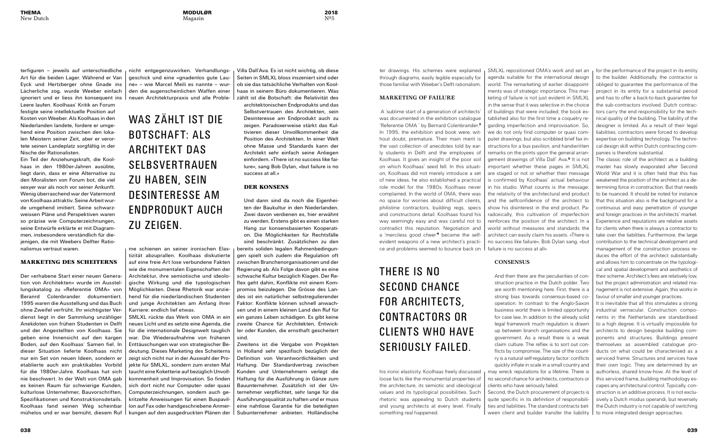2018 Nº5

terfiguren – jeweils auf unterschiedliche Art für die beiden Lager. Während er Van Eyck und Hertzberger ohne Gnade ins Lächerliche zog, wurde Weeber einfach ignoriert und er liess ihn konsequent ins

Leere laufen. Koolhaas' Kritik an Forum festigte seine intellektuelle Position auf Kosten von Weeber. Als Koolhaas in den Niederlanden landete, fordere er umgehend eine Position zwischen den lokalen Meistern seiner Zeit, aber er verortete seinen Landeplatz sorgfältig in der Nische der Rationalisten.

Ein Teil der Anziehungskraft, die Koolhaas in den 1980er-Jahren ausübte, liegt darin, dass er eine Alternative zu den Moralisten von Forum bot, die viel sexyer war als noch vor seiner Ankunft. Wenig überraschend war der Vatermord von Koolhaas attraktiv. Seine Arbeit wurde umgehend imitiert. Seine schwarzweissen Pläne und Perspektiven waren so präzise wie Computerzeichnungen, seine Entwürfe erklärte er mit Diagrammen, insbesondere verständlich für diejenigen, die mit Weebers Delfter Rationalismus vertraut waren.

#### MARKETING DES SCHEITERNS

Der «erhabene Start einer neuen Generation von Architekten» wurde im Ausstellungskatalog zu «Referentie OMA» von Beranrd Colenbrander dokumentiert. 1995 waren die Ausstellung und das Buch ohne Zweifel verfrüht. Ihr wichtigster Verdienst liegt in der Sammlung unzähliger Anekdoten von frühen Studenten in Delft und der Angestellten von Koolhaas. Sie geben eine Innensicht auf den kargen Boden, auf den Koolhaas' Samen fiel. In dieser Situation lieferte Koolhaas nicht nur ein Set von neuen Ideen, sondern er etablierte auch ein praktikables Vorbild für die 1980er-Jahre. Koolhaas hat sich nie beschwert. In der Welt von OMA gab es keinen Raum für schwierige Kunden, kulturlose Unternehmer, Bauvorschriften, Spezifikationen und Konstruktionsdetails. Koolhaas fand seinen Weg scheinbar mühelos und er war bemüht, diesem Ruf nicht entgegenzuwirken. Verhandlungsgeschick und eine «gnadenlos gute Laune» – wie Marcel Meili es nannte – wurden die augenscheinlichen Waffen einer neuen Architekturpraxis und alle Proble-

me schienen an seiner ironischen Elastizität abzuprallen. Koolhaas diskutierte auf eine freie Art lose verbundene Fakten wie die monumentalen Eigenschaften der Architektur, ihre semiotische und ideologische Wirkung und die typologischen Möglichkeiten. Diese Rhetorik war anziehend für die niederländischen Studenten und junge Architekten am Anfang ihrer Karriere: endlich lief etwas. SMLXL rückte das Werk von OMA in ein neues Licht und es setzte eine Agenda, die

für die internationale Designwelt tauglich war. Die Wiederaufnahme von früheren Enttäuschungen war von strategischer Bedeutung. Dieses Marketing des Scheiterns zeigt sich nicht nur in der Auswahl der Projekte für SMLXL, sondern zum ersten Mal taucht eine Koketterie auf bezüglich Unvollkommenheit und Improvisation. So finden sich dort nicht nur Computer- oder quasi Computerzeichnungen, sondern auch gekritzelte Anweisungen für einen Buspavillon auf Fax oder handgeschriebene Anmerkungen auf den ausgedruckten Plänen der Villa Dall'Ava. Es ist nicht wichtig, ob diese Seiten in SMLXL bloss inszeniert sind oder ob sie das tatsächliche Verhalten von Koolhaas in seinem Büro dokumentieren. Was zählt ist die Botschaft: die Relativität des

architektonischen Endprodukts und das Selbstvertrauen des Architekten, sein Desinteresse am Endprodukt auch zu zeigen. Paradoxerweise stärkt das Kultivieren dieser Unvollkommenheit die Position des Architekten. In einer Welt ohne Masse und Standards kann der Architekt sehr einfach seine Anliegen einfordern. «There ist no success like failure», sang Bob Dylan, «but failure is no success at all.»

#### DER KONSENS

Und dann sind da noch die Eigenheiten der Baukultur in den Niederlanden. Zwei davon verdienen es, hier erwähnt zu werden. Erstens gibt es einen starken Hang zur konsensbasierten Kooperation. Die Möglichkeiten für Rechtsfälle sind beschränkt. Zusätzlichen zu den

bereits soliden legalen Rahmenbedingungen spielt sich zudem die Regulation oft zwischen Branchenorganisationen und der Regierung ab. Als Folge davon gibt es eine schwache Kultur bezüglich Klagen. Der Reflex geht dahin, Konflikte mit einem Kompromiss beizulegen. Die Grösse des Landes ist ein natürlicher selbstregulierender Faktor: Konflikte können schnell anwachsen und in einem kleinen Land den Ruf für ein ganzes Leben schädigen. Es gibt keine zweite Chance für Architekten, Entwickler oder Kunden, die ernsthaft gescheitert sind.

 $\frac{1}{x}$  for the performance of the project in its entity to the builder. Additionally, the contractor is obliged to guarantee the performance of the project in its entity for a substantial period and has to offer a back-to-back guarantee for the sub-contractors involved. Dutch contractors carry the end responsibility for the technical quality of the building. The liability of the designer is limited. As a result of their legal liabilities, contractors were forced to develop expertise on building technology. The technical design skill within Dutch contracting companies is therefore substantial.

Zweitens ist die Vergabe von Projekten in Holland sehr spezifisch bezüglich der Definition von Verantwortlichkeiten und Haftung. Der Standardvertrag zwischen Kunden und Unternehmern verlegt die Haftung für die Ausführung in Gänze zum Bauunternehmer. Zusätzlich ist der Unternehmer verpflichtet, sehr lange für die Ausführungsqualität zu haften und er muss eine nahtlose Garantie für die beteiligten Subunternehmer anbieten. Holländische

ter drawings. His schemes were explained through diagrams, easily legible especially for those familiar with Weeber's Delft rationalism.

#### **MARKETING OF FAILURE**

WAS ZÄHIT IST DIF BOTSCHAFT: ALS ARCHITEKT DAS SELBSVERTR AUEN ZU HABEN, SEIN DESINTERESSE AM ENDPRODUK T AUCH ZU ZEIGEN.

 A 'sublime start of a generation of architects' was documented in the exhibition catalogue 'Referentie OMA ' by Bernard Colenbrander.<sup>3</sup> In 1995, the exhibition and book were, without doubt, premature. Their main merit is the vast collection of anecdotes told by early students in Delft and the employees of Koolhaas. It gives an insight of the poor soil on which Koolhaas' seed fell. In this situation, Koolhaas did not merely introduce a set of new ideas, he also established a practical role model for the 1980s. Koolhaas never complained. In the world of OMA, there was no space for worries about difficult clients, philistine contractors, building regs, specs and constructions detail. Koolhaas found his way seemingly easy and was careful not to contradict this reputation. Negotiation and a 'merciless good cheer<sup>4</sup> became the selfevident weapons of a new architect's practice and problems seemed to bounce back on

his ironic elasticity. Koolhaas freely discussed loose facts like the monumental properties of the architecture, its semiotic and ideological values and its typological possibilities. Such rhetoric was appealing to Dutch students and young architects at every level. Finally something real happened.

SMLXL repositioned OMA's work and set an agenda suitable for the international design world. The remarketing of earlier disappointments was of strategic importance. This marketing of failure is not just evident in SMLXL in the sense that it was selective in the choice of buildings that were included; the book established also for the first time a coquetry regarding imperfection and improvisation. So, we do not only find computer or quasi computer drawings, but also scribbled brief fax instructions for a bus pavilion, and handwritten remarks on the prints upon the general arrangement drawings of Villa Dall' Ava.<sup>5</sup> It is not important whether these pages in SMLXL are staged or not or whether their message is confirmed by Koolhaas' actual behaviour in his studio. What counts is the message: the relativity of the architectural end product and the selfconfidence of the architect to show his disinterest in the end product. Paradoxically, this cultivation of imperfection reinforces the position of the architect. In a world without measures and standards the architect can easily claim his assets. «There is no success like failure», Bob Dylan sang, «but failure is no success at all».

#### **CONSENSUS**

And then there are the peculiarities of construction practice in the Dutch polder. Two are worth mentioning here. First, there is a strong bias towards consensus-based cooperation. In contrast to the Anglo-Saxon business world there is limited opportunity for case law. In addition to the already solid legal framework much regulation is drawn up between branch organisations and the government. As a result there is a weak claim culture. The reflex is to sort out conflicts by compromise. The size of the country is a natural self-regulatory factor: conflicts quickly inflate in scale in a small country and

may wreck reputations for a lifetime. There is no second chance for architects, contractors or clients who have seriously failed. Second, the Dutch procurement of projects is quite specific in its definition of responsibilities and liabilities. The standard contracts between client and builder transfer the liability

The classic role of the architect as a building master has slowly evaporated after Second World War and it is often held that this has weakened the position of the architect as a determining force in construction. But that needs to be nuanced. It should be noted for instance that this situation also is the background for a continuous and easy penetration of younger and foreign practices in the architects' market. Experience and reputations are relative assets for clients when there is always a contractor to take over the liabilities. Furthermore, the large contribution to the technical development and management of the construction process reduces the effort of the architect substantially and allows him to concentrate on the typological and spatial development and aesthetics of their scheme. Architect's fees are relatively low, but the project administration and related management is not extensive. Again, this works in favour of smaller and younger practices.

It is inevitable that all this stimulates a strong industrial vernacular. Construction components in the Netherlands are standardised to a high degree. It is virtually impossible for architects to design bespoke building components and structures. Buildings present themselves as assembled catalogue products on what could be characterised as a serviced frame. Structures and services have their own logic. They are determined by an authorless, shared know-how. At the level of this serviced frame, building methodology escapes any architectural control. Typically, construction is an additive process. It is not exclusively a Dutch modus operandi, but reversely the Dutch industry is not capable of switching to more integrated design approaches.

THERE IS NO SECOND CHANCE FOR ARCHITECTS, CONTRACTORS OR CLIENTS WHO HAVE SERIOUSLY FAILED.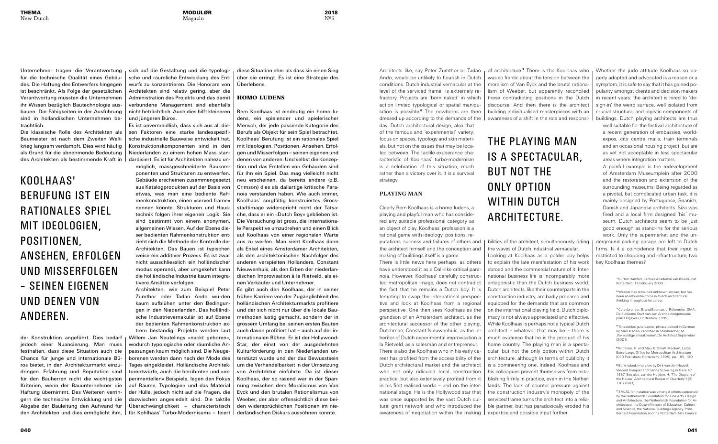2018 Nº5

Unternehmer tragen die Verantwortung für die technische Qualität eines Gebäudes. Die Haftung des Entwerfers hingegen ist beschränkt. Als Folge der gesetzlichen Verantwortung mussten die Unternehmen ihr Wissen bezüglich Bautechnologie ausbauen. Die Fähigkeiten in der Ausführung sind in holländischen Unternehmen beträchtlich.

Die klassische Rolle des Architekten als Baumeister ist nach dem Zweiten Weltkrieg langsam verdampft. Dies wird häufig als Grund für die abnehmende Bedeutung des Architekten als bestimmende Kraft in

der Konstruktion angeführt. Dies bedarf jedoch einer Nuancierung. Man muss festhalten, dass diese Situation auch die Chance für junge und internationale Büros bietet, in den Architekturmarkt einzudringen. Erfahrung und Reputation sind für den Bauherren nicht die wichtigsten Kriterien, wenn der Bauunternehmer die Haftung übernimmt. Des Weiteren verringern die technische Entwicklung und die Abgabe der Bauleitung den Aufwand für den Architekten und dies ermöglicht ihm,

sich auf die Gestaltung und die typologische und räumliche Entwicklung des Entwurfs zu konzentrieren. Die Honorare von Architekten sind relativ gering, aber die Administration des Projekts und das damit verbundene Management sind ebenfalls nicht beträchtlich. Auch dies hilft kleineren und jüngeren Büros.

Es ist unvermeidlich, dass sich aus all diesen Faktoren eine starke landesspezifische industrielle Bauweise entwickelt hat. Konstruktionskomponenten sind in den Niederlanden zu einem hohen Mass standardisiert. Es ist für Architekten nahezu un-

möglich, massgeschneiderte Baukomponenten und Strukturen zu entwerfen. Gebäude erscheinen zusammengesetzt aus Katalogprodukten auf der Basis von etwas, was man eine bediente Rahmenkonstruktion, einen «served frame» nennen könnte. Strukturen und Haustechnik folgen ihrer eigenen Logik. Sie sind bestimmt von einem anonymen, allgemeinen Wissen. Auf der Ebene dieser bedienten Rahmenkonstruktion entzieht sich die Methode der Kontrolle der Architekten. Das Bauen ist typischerweise ein additiver Prozess. Es ist zwar nicht ausschliesslich ein holländischer modus operandi, aber umgekehrt kann die holländische Industrie kaum integrativere Ansätze verfolgen.

Architekten, wie zum Beispiel Peter Zumthor oder Tadao Ando würden kaum aufblühen unter den Bedingungen in den Niederlanden. Das holländische Industrievernakulär ist auf Ebene der bedienten Rahmenkonstruktion extrem beständig. Projekte werden laut Willem Jan Neutelings «nackt geboren», wodurch typologische oder räumliche Anpassungen kaum möglich sind. Die Neugeborenen werden dann nach der Mode des Tages eingekleidet. Holländische Architekturentwürfe, auch die berühmten und «experimentellen» Beispiele, legen den Fokus auf Räume, Typologien und das Material der Hülle, jedoch nicht auf die Fragen, die dazwischen angesiedelt sind. Die taktile Überschwänglichkeit – charakteristisch für Kohlhaas' Turbo-Modernisums – feiert

diese Situation eher als dass sie einen Sieg über sie erringt. Es ist eine Strategie des Überlebens.

#### HOMO LUDENS

Rem Koolhaas ist eindeutig ein homo ludens, ein spielender und spielerischer Mensch, der jede passende Kategorie des Berufs als Objekt für sein Spiel betrachtet. Koolhaas' Berufung ist ein rationales Spiel mit Ideologien, Positionen, Ansehen, Erfolgen und Misserfolgen – seinen eigenen und denen von anderen. Und selbst die Konzeption und das Erstellen von Gebäuden sind für ihn ein Spiel. Das mag vielleicht nicht neu erscheinen, da bereits andere (z.B. Crimson) dies als daliartige kritische Paranoia verstanden haben. Wie auch immer, Koolhaas' sorgfältig konstruiertes Grossstadtimage widerspricht nicht der Tatsache, dass er ein «Dutch Boy» geblieben ist. Die Versuchung ist gross, die internationale Perspektive umzudrehen und einen Blick auf Koolhaas von einer regionalen Warte aus zu werfen. Man sieht Koolhaas dann als Enkel eines Amsterdamer Architekten, als den architektonischen Nachfolger des anderen verspielten Holländers, Constant Nieuwenhuis, als den Erben der niederländischen Improvisation à la Rietveld, als einen Verkäufer und Unternehmer.

bilities of the architect, simultaneously riding | the waves of Dutch industrial vernacular. Looking at Koolhaas as a polder boy helps to explain the late manifestation of his work abroad and the commercial nature of it. International business life is incomparably more antagonistic than the Dutch business world. Dutch architects, like their counterparts in the construction industry, are badly prepared and equipped for the demands that are common on the international playing field. Dutch diplomacy is not always appreciated and effective. While Koolhaas is perhaps not a typical Dutch architect – whatever that may be – there is much evidence that he is the product of his home country. The playing man is a spectacular, but not the only option within Dutch architecture, although in terms of publicity it is a domineering one. Indeed, Koolhaas and his colleagues prevent themselves from establishing firmly in practice, even in the Netherlands. The lack of counter pressure against the construction industry's monopoly of the serviced frame turns the architect into a reliable partner, but has paradoxically eroded his expertise and possible input further.

Whether the judo attitude Koolhaas so eagerly adopted and advocated is a reason or a symptom, it is safe to say that it has gained popularity amongst clients and decision makers in recent years: the architect is hired to 'design-in' the weird surface, well isolated from crucial structural and logistic components of buildings. Dutch playing architects are thus

Es gibt auch den Koolhaas, der in seiner frühen Karriere von der Zugänglichkeit des holländischen Architekturmarkts profitiere und der sich nicht nur über die lokale Baumethoden lustig gemacht, sondern der in grossem Umfang bei seinen ersten Bauten auch davon profitiert hat – auch auf der internationalen Bühne. Er ist der Hollywood-Star, der einst von der ausgedehnten Kulturförderung in den Niederlanden unterstützt wurde und der das Bewusstsein um die Verhandelbarkeit in der Umsetzung von Architektur einführte. Da ist dieser Koolhaas, der so rasend war in der Spannung zwischen dem Moralismus von Van Eyck und den brutalen Rationalismus von Weeber, der aber offensichtlich diese beiden widersprüchlichen Positionen im niederländischen Diskurs aussöhnen konnte.

<sup>4</sup> 'Gnadenlos gute Laune', phrase coined in German by Marcel Meili, recorded in Stuhlmacher, M. 'Vakkundige smaakmaker', De Architect September  $(2001)$ 

Architects like, say Peter Zumthor or Tadao Ando, would be unlikely to flourish in Dutch conditions. Dutch industrial vernacular at the level of the serviced frame is extremely refractory. Projects are 'born naked' in which action limited typological or spatial manipulation is possible. $6$  The newborns are then dressed up according to the demands of the day. Dutch architectural design, also that of the famous and 'experimental' variety, focus on spaces, typology and skin materials, but not on the issues that may be located between. The tactile exuberance characteristic of Koolhaas' turbo-modernism is a celebration of this situation, much rather than a victory over it. It is a survival strategy.

#### **PLAYING MAN**

Clearly Rem Koolhaas is a homo ludens, a playing and playful man who has considered any suitable professional category as an object of play. Koolhaas' profession is a rational game with ideology, positions, reputations, success and failures of others and the architect himself and the conception and

making of buildings itself is a game. There is little news here perhaps, as others have understood it as a Dali-like critical paranoia. However, Koolhaas' carefully constructed metropolitan image, does not contradict the fact that he remains a Dutch boy. It is tempting to swap the international perspective and look at Koolhaas from a regional perspective. One then sees Koolhaas as the grandson of an Amsterdam architect, as the architectural successor of the other playing, Dutchman, Constant Nieuwenhuis, as the inheritor of Dutch experimental improvisation a la Rietveld, as a salesman and entrepreneur. There is also the Koolhaas who in his early career has profited from the accessibility of the Dutch architectural market and the architect who not only ridiculed local construction practice, but also extensively profited from it in his first realised works – and on the international stage. He is the Hollywood star that was once supported by the vast Dutch cultural grant network and who introduced the awareness of negotiation within the making

of architecture.7 There is the Koolhaas who was so frantic about the tension between the moralism of Van Eyck and the brutal rationalism of Weeber, but apparently reconciled these contradicting positions in the Dutch discourse. And then there is the architect building individualised masterpieces with an awareness of a shift in the role and responsi-

> well suitable for the festival architecture of a recent generation of embassies, worldexpos, city centre malls, train terminals and an occasional housing project, but are as yet not acceptable in less spectacular areas where integration matters.

> A painful example is the redevelopment of Amsterdam Museumplein after 2000 and the restoration and extension of the surrounding museums. Being regarded as a pivotal, but complicated urban task, it is mainly designed by Portuguese, Spanish, Danish and Japanese architects. Siza was fired and a local firm designed 'his' museum. Dutch architects seem to be just good enough as stand-ins for the serious work. Only the supermarket and the un-

derground parking garage are left to Dutch firms. Is it a coincidence that their input is restricted to shopping and infrastructure, two key Koolhaas themes?

> <sup>1</sup> Burton Hamfelt, Lecture Academie van Bouwkunst Rotterdam, 19 February 2003.

<sup>2</sup> Weeber has remained unknown abroad, but has been an influential force in Dutch architectural thinking throughout his career.

<sup>3</sup> Colenbrander, B. and Bosman, J. Referentie: OMA: De Sublieme Start van een Architectengeneratie (NAI Uitgevers, Rotterdam, 1995).

<sup>5</sup> Koolhaas, R. and Mau, B. Small, Medium, Large, Extra-Large, Office for Metropolitan Architecture (010 Publishers, Rotterdam, 1995), pp. 195, 130.

<sup>6</sup> Born naked, interview by Dirk van den Heuvel, Vincent Kompier and Sanna Schuiling in Oase 47, 1997. See also, van der Heijden, H. 'The Diagram of the House'. Architectural Research Quarterly 5(2): 110 (2001).

<sup>7</sup> SMLXL for instance was amongst others supported by the Netherlands Foundation for Fine Arts, Design and Architecture, the Netherlands Foundation for Architecture, the Dutch Ministry of Education, Culture and Science, the National Buildings Agency, Prins Bernard Foundation and the Rotterdam Arts Council.

## KOOLHA AS' BERUFUNG IST EIN R ATIONALES SPIEL MIT IDEOLOGIEN, POSITIONEN, ANSEHEN, ERFOLGEN UND MISSERFOLGEN – SEINEN EIGENEN UND DENEN VON ANDEREN.

## THE PL AYING MAN IS A SPECTACULAR. BUT NOT THE ONLY OPTION WITHIN DUTCH ARCHITECTURE.